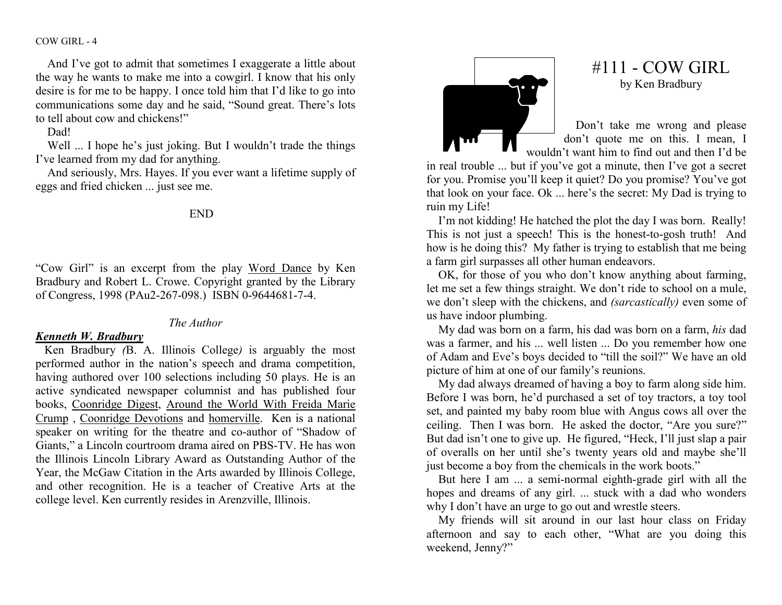COW GIRL - 4

And I've got to admit that sometimes I exaggerate a little about the way he wants to make me into a cowgirl. I know that his only desire is for me to be happy. I once told him that I'd like to go into communications some day and he said, "Sound great. There's lots to tell about cow and chickens!"

Dad!

Well ... I hope he's just joking. But I wouldn't trade the things I've learned from my dad for anything.

 And seriously, Mrs. Hayes. If you ever want a lifetime supply of eggs and fried chicken ... just see me.

END

"Cow Girl" is an excerpt from the play Word Dance by Ken Bradbury and Robert L. Crowe. Copyright granted by the Library of Congress, 1998 (PAu2-267-098.) ISBN 0-9644681-7-4.

## The Author

## Kenneth W. Bradbury

 Ken Bradbury (B. A. Illinois College) is arguably the most performed author in the nation's speech and drama competition, having authored over 100 selections including 50 plays. He is an active syndicated newspaper columnist and has published four books, Coonridge Digest, Around the World With Freida Marie Crump, Coonridge Devotions and homerville. Ken is a national speaker on writing for the theatre and co-author of "Shadow of Giants," a Lincoln courtroom drama aired on PBS-TV. He has won the Illinois Lincoln Library Award as Outstanding Author of the Year, the McGaw Citation in the Arts awarded by Illinois College, and other recognition. He is a teacher of Creative Arts at the college level. Ken currently resides in Arenzville, Illinois.



## $#111$  - COW GIRL by Ken Bradbury

Don't take me wrong and please don't quote me on this. I mean, I wouldn't want him to find out and then I'd be

 in real trouble ... but if you've got a minute, then I've got a secret for you. Promise you'll keep it quiet? Do you promise? You've got that look on your face. Ok ... here's the secret: My Dad is trying to ruin my Life!

 I'm not kidding! He hatched the plot the day I was born. Really! This is not just a speech! This is the honest-to-gosh truth! And how is he doing this? My father is trying to establish that me being a farm girl surpasses all other human endeavors.

 OK, for those of you who don't know anything about farming, let me set a few things straight. We don't ride to school on a mule, we don't sleep with the chickens, and (sarcastically) even some of us have indoor plumbing.

My dad was born on a farm, his dad was born on a farm, his dad was a farmer, and his ... well listen ... Do you remember how one of Adam and Eve's boys decided to "till the soil?" We have an old picture of him at one of our family's reunions.

 My dad always dreamed of having a boy to farm along side him. Before I was born, he'd purchased a set of toy tractors, a toy tool set, and painted my baby room blue with Angus cows all over the ceiling. Then I was born. He asked the doctor, "Are you sure?" But dad isn't one to give up. He figured, "Heck, I'll just slap a pair of overalls on her until she's twenty years old and maybe she'll just become a boy from the chemicals in the work boots."

 But here I am ... a semi-normal eighth-grade girl with all the hopes and dreams of any girl. ... stuck with a dad who wonders why I don't have an urge to go out and wrestle steers.

 My friends will sit around in our last hour class on Friday afternoon and say to each other, "What are you doing this weekend, Jenny?"